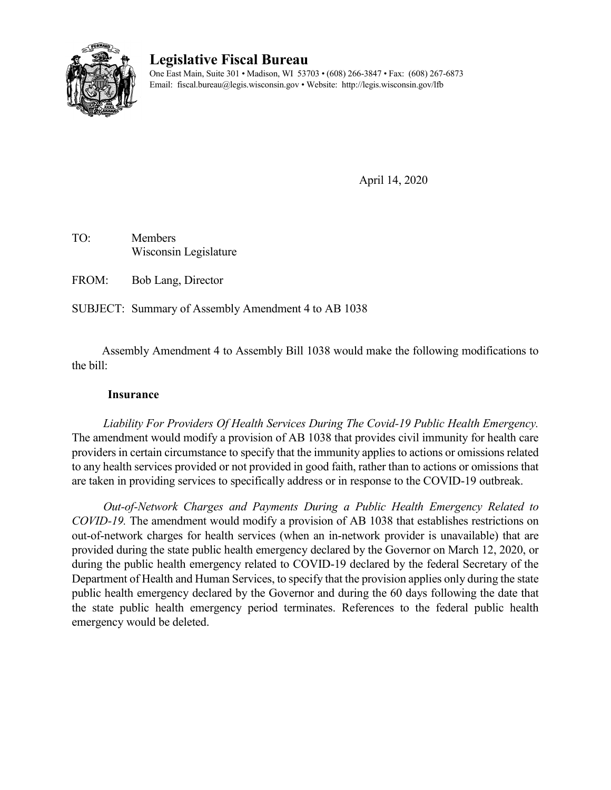

# **Legislative Fiscal Bureau**

One East Main, Suite 301 • Madison, WI 53703 • (608) 266-3847 • Fax: (608) 267-6873 Email: fiscal.bureau@legis.wisconsin.gov • Website:<http://legis.wisconsin.gov/lfb>

April 14, 2020

TO: Members Wisconsin Legislature

FROM: Bob Lang, Director

SUBJECT: Summary of Assembly Amendment 4 to AB 1038

Assembly Amendment 4 to Assembly Bill 1038 would make the following modifications to the bill:

### **Insurance**

*Liability For Providers Of Health Services During The Covid-19 Public Health Emergency.*  The amendment would modify a provision of AB 1038 that provides civil immunity for health care providers in certain circumstance to specify that the immunity applies to actions or omissions related to any health services provided or not provided in good faith, rather than to actions or omissions that are taken in providing services to specifically address or in response to the COVID-19 outbreak.

*Out-of-Network Charges and Payments During a Public Health Emergency Related to COVID-19.* The amendment would modify a provision of AB 1038 that establishes restrictions on out-of-network charges for health services (when an in-network provider is unavailable) that are provided during the state public health emergency declared by the Governor on March 12, 2020, or during the public health emergency related to COVID-19 declared by the federal Secretary of the Department of Health and Human Services, to specify that the provision applies only during the state public health emergency declared by the Governor and during the 60 days following the date that the state public health emergency period terminates. References to the federal public health emergency would be deleted.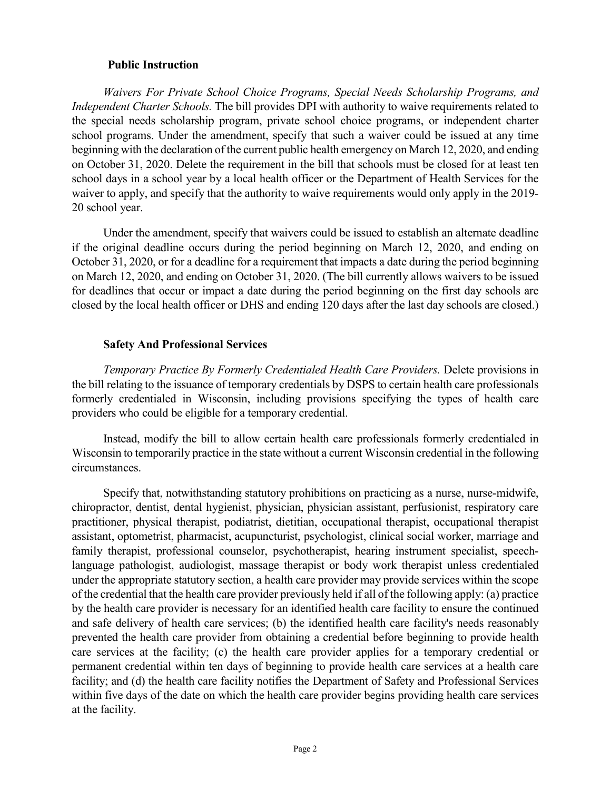#### **Public Instruction**

*Waivers For Private School Choice Programs, Special Needs Scholarship Programs, and Independent Charter Schools.* The bill provides DPI with authority to waive requirements related to the special needs scholarship program, private school choice programs, or independent charter school programs. Under the amendment, specify that such a waiver could be issued at any time beginning with the declaration of the current public health emergency on March 12, 2020, and ending on October 31, 2020. Delete the requirement in the bill that schools must be closed for at least ten school days in a school year by a local health officer or the Department of Health Services for the waiver to apply, and specify that the authority to waive requirements would only apply in the 2019- 20 school year.

Under the amendment, specify that waivers could be issued to establish an alternate deadline if the original deadline occurs during the period beginning on March 12, 2020, and ending on October 31, 2020, or for a deadline for a requirement that impacts a date during the period beginning on March 12, 2020, and ending on October 31, 2020. (The bill currently allows waivers to be issued for deadlines that occur or impact a date during the period beginning on the first day schools are closed by the local health officer or DHS and ending 120 days after the last day schools are closed.)

#### **Safety And Professional Services**

*Temporary Practice By Formerly Credentialed Health Care Providers.* Delete provisions in the bill relating to the issuance of temporary credentials by DSPS to certain health care professionals formerly credentialed in Wisconsin, including provisions specifying the types of health care providers who could be eligible for a temporary credential.

Instead, modify the bill to allow certain health care professionals formerly credentialed in Wisconsin to temporarily practice in the state without a current Wisconsin credential in the following circumstances.

Specify that, notwithstanding statutory prohibitions on practicing as a nurse, nurse-midwife, chiropractor, dentist, dental hygienist, physician, physician assistant, perfusionist, respiratory care practitioner, physical therapist, podiatrist, dietitian, occupational therapist, occupational therapist assistant, optometrist, pharmacist, acupuncturist, psychologist, clinical social worker, marriage and family therapist, professional counselor, psychotherapist, hearing instrument specialist, speechlanguage pathologist, audiologist, massage therapist or body work therapist unless credentialed under the appropriate statutory section, a health care provider may provide services within the scope of the credential that the health care provider previously held if all of the following apply: (a) practice by the health care provider is necessary for an identified health care facility to ensure the continued and safe delivery of health care services; (b) the identified health care facility's needs reasonably prevented the health care provider from obtaining a credential before beginning to provide health care services at the facility; (c) the health care provider applies for a temporary credential or permanent credential within ten days of beginning to provide health care services at a health care facility; and (d) the health care facility notifies the Department of Safety and Professional Services within five days of the date on which the health care provider begins providing health care services at the facility.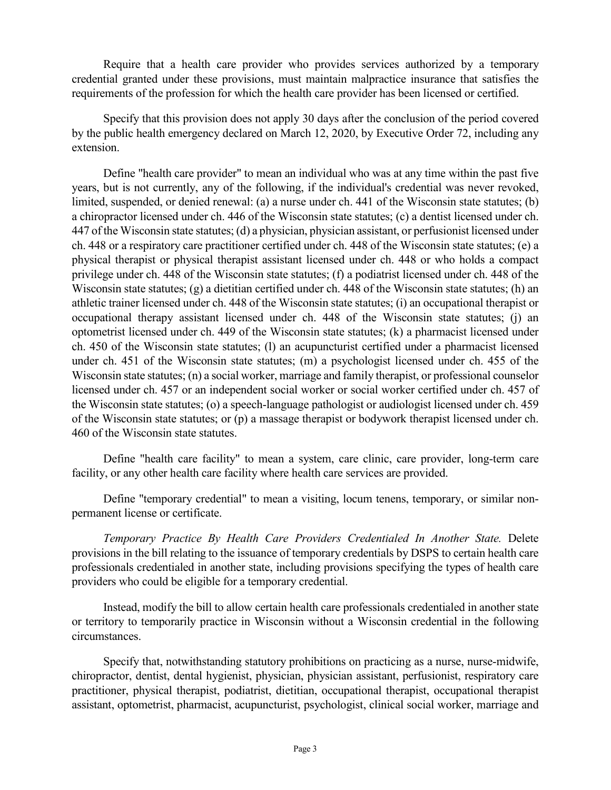Require that a health care provider who provides services authorized by a temporary credential granted under these provisions, must maintain malpractice insurance that satisfies the requirements of the profession for which the health care provider has been licensed or certified.

Specify that this provision does not apply 30 days after the conclusion of the period covered by the public health emergency declared on March 12, 2020, by Executive Order 72, including any extension.

Define "health care provider" to mean an individual who was at any time within the past five years, but is not currently, any of the following, if the individual's credential was never revoked, limited, suspended, or denied renewal: (a) a nurse under ch. 441 of the Wisconsin state statutes; (b) a chiropractor licensed under ch. 446 of the Wisconsin state statutes; (c) a dentist licensed under ch. 447 of the Wisconsin state statutes; (d) a physician, physician assistant, or perfusionist licensed under ch. 448 or a respiratory care practitioner certified under ch. 448 of the Wisconsin state statutes; (e) a physical therapist or physical therapist assistant licensed under ch. 448 or who holds a compact privilege under ch. 448 of the Wisconsin state statutes; (f) a podiatrist licensed under ch. 448 of the Wisconsin state statutes; (g) a dietitian certified under ch. 448 of the Wisconsin state statutes; (h) an athletic trainer licensed under ch. 448 of the Wisconsin state statutes; (i) an occupational therapist or occupational therapy assistant licensed under ch. 448 of the Wisconsin state statutes; (j) an optometrist licensed under ch. 449 of the Wisconsin state statutes; (k) a pharmacist licensed under ch. 450 of the Wisconsin state statutes; (l) an acupuncturist certified under a pharmacist licensed under ch. 451 of the Wisconsin state statutes; (m) a psychologist licensed under ch. 455 of the Wisconsin state statutes; (n) a social worker, marriage and family therapist, or professional counselor licensed under ch. 457 or an independent social worker or social worker certified under ch. 457 of the Wisconsin state statutes; (o) a speech-language pathologist or audiologist licensed under ch. 459 of the Wisconsin state statutes; or (p) a massage therapist or bodywork therapist licensed under ch. 460 of the Wisconsin state statutes.

Define "health care facility" to mean a system, care clinic, care provider, long-term care facility, or any other health care facility where health care services are provided.

Define "temporary credential" to mean a visiting, locum tenens, temporary, or similar nonpermanent license or certificate.

*Temporary Practice By Health Care Providers Credentialed In Another State.* Delete provisions in the bill relating to the issuance of temporary credentials by DSPS to certain health care professionals credentialed in another state, including provisions specifying the types of health care providers who could be eligible for a temporary credential.

Instead, modify the bill to allow certain health care professionals credentialed in another state or territory to temporarily practice in Wisconsin without a Wisconsin credential in the following circumstances.

Specify that, notwithstanding statutory prohibitions on practicing as a nurse, nurse-midwife, chiropractor, dentist, dental hygienist, physician, physician assistant, perfusionist, respiratory care practitioner, physical therapist, podiatrist, dietitian, occupational therapist, occupational therapist assistant, optometrist, pharmacist, acupuncturist, psychologist, clinical social worker, marriage and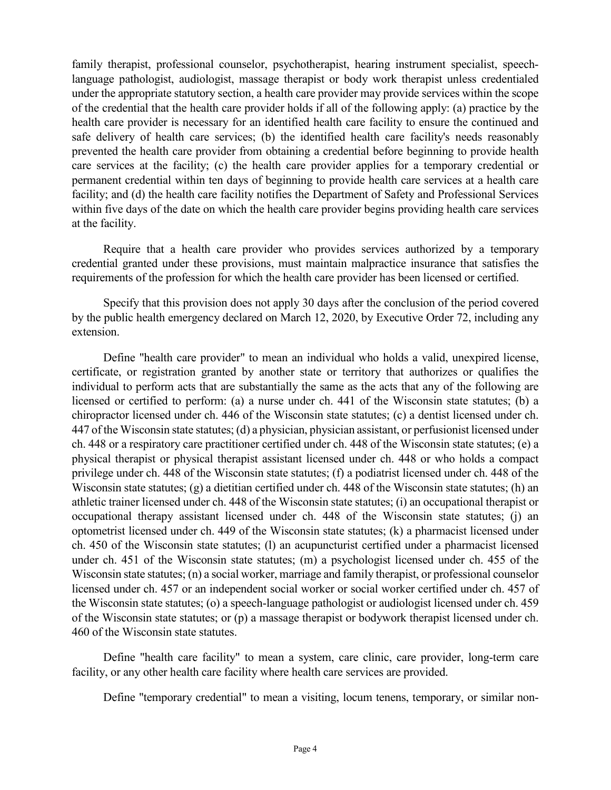family therapist, professional counselor, psychotherapist, hearing instrument specialist, speechlanguage pathologist, audiologist, massage therapist or body work therapist unless credentialed under the appropriate statutory section, a health care provider may provide services within the scope of the credential that the health care provider holds if all of the following apply: (a) practice by the health care provider is necessary for an identified health care facility to ensure the continued and safe delivery of health care services; (b) the identified health care facility's needs reasonably prevented the health care provider from obtaining a credential before beginning to provide health care services at the facility; (c) the health care provider applies for a temporary credential or permanent credential within ten days of beginning to provide health care services at a health care facility; and (d) the health care facility notifies the Department of Safety and Professional Services within five days of the date on which the health care provider begins providing health care services at the facility.

Require that a health care provider who provides services authorized by a temporary credential granted under these provisions, must maintain malpractice insurance that satisfies the requirements of the profession for which the health care provider has been licensed or certified.

Specify that this provision does not apply 30 days after the conclusion of the period covered by the public health emergency declared on March 12, 2020, by Executive Order 72, including any extension.

Define "health care provider" to mean an individual who holds a valid, unexpired license, certificate, or registration granted by another state or territory that authorizes or qualifies the individual to perform acts that are substantially the same as the acts that any of the following are licensed or certified to perform: (a) a nurse under ch. 441 of the Wisconsin state statutes; (b) a chiropractor licensed under ch. 446 of the Wisconsin state statutes; (c) a dentist licensed under ch. 447 of the Wisconsin state statutes; (d) a physician, physician assistant, or perfusionist licensed under ch. 448 or a respiratory care practitioner certified under ch. 448 of the Wisconsin state statutes; (e) a physical therapist or physical therapist assistant licensed under ch. 448 or who holds a compact privilege under ch. 448 of the Wisconsin state statutes; (f) a podiatrist licensed under ch. 448 of the Wisconsin state statutes; (g) a dietitian certified under ch. 448 of the Wisconsin state statutes; (h) an athletic trainer licensed under ch. 448 of the Wisconsin state statutes; (i) an occupational therapist or occupational therapy assistant licensed under ch. 448 of the Wisconsin state statutes; (j) an optometrist licensed under ch. 449 of the Wisconsin state statutes; (k) a pharmacist licensed under ch. 450 of the Wisconsin state statutes; (l) an acupuncturist certified under a pharmacist licensed under ch. 451 of the Wisconsin state statutes; (m) a psychologist licensed under ch. 455 of the Wisconsin state statutes; (n) a social worker, marriage and family therapist, or professional counselor licensed under ch. 457 or an independent social worker or social worker certified under ch. 457 of the Wisconsin state statutes; (o) a speech-language pathologist or audiologist licensed under ch. 459 of the Wisconsin state statutes; or (p) a massage therapist or bodywork therapist licensed under ch. 460 of the Wisconsin state statutes.

Define "health care facility" to mean a system, care clinic, care provider, long-term care facility, or any other health care facility where health care services are provided.

Define "temporary credential" to mean a visiting, locum tenens, temporary, or similar non-